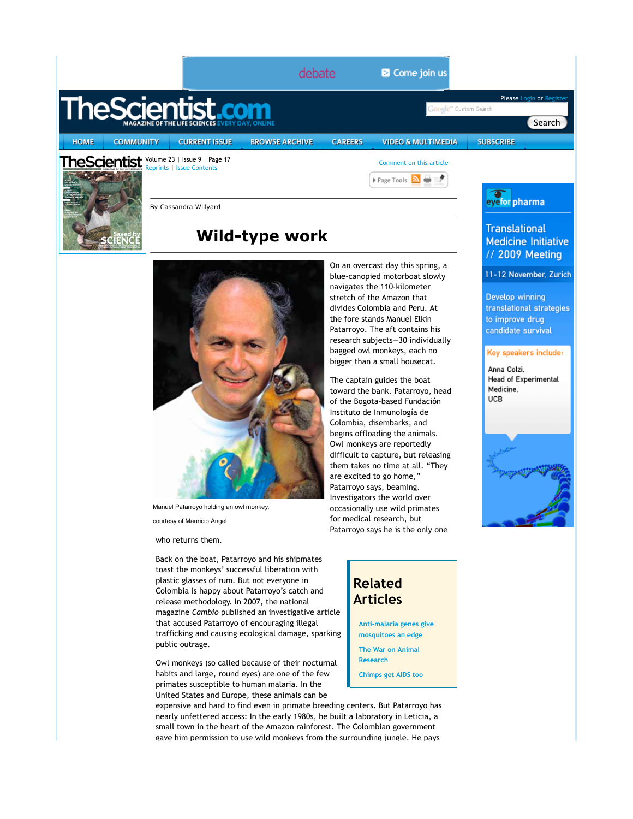|             |                                                                           |                                                                                                                                                                                                                                                                                                                                                                                                            | debate                |                |                                   | Come join us                                                                                                                                                                                                                                                                                                                                                                                                                                                                                                                                                                                                                                                                     |                                                                       |                                                                                                                                                                                                                  |  |
|-------------|---------------------------------------------------------------------------|------------------------------------------------------------------------------------------------------------------------------------------------------------------------------------------------------------------------------------------------------------------------------------------------------------------------------------------------------------------------------------------------------------|-----------------------|----------------|-----------------------------------|----------------------------------------------------------------------------------------------------------------------------------------------------------------------------------------------------------------------------------------------------------------------------------------------------------------------------------------------------------------------------------------------------------------------------------------------------------------------------------------------------------------------------------------------------------------------------------------------------------------------------------------------------------------------------------|-----------------------------------------------------------------------|------------------------------------------------------------------------------------------------------------------------------------------------------------------------------------------------------------------|--|
|             |                                                                           | <b>TheScientist.com</b>                                                                                                                                                                                                                                                                                                                                                                                    |                       |                |                                   |                                                                                                                                                                                                                                                                                                                                                                                                                                                                                                                                                                                                                                                                                  | Google <sup>m</sup> Custom Search                                     | Please Login or Register                                                                                                                                                                                         |  |
|             |                                                                           |                                                                                                                                                                                                                                                                                                                                                                                                            |                       |                |                                   |                                                                                                                                                                                                                                                                                                                                                                                                                                                                                                                                                                                                                                                                                  |                                                                       | Search                                                                                                                                                                                                           |  |
| <b>HOME</b> | <b>COMMUNITY</b>                                                          | <b>CURRENT ISSUE</b>                                                                                                                                                                                                                                                                                                                                                                                       | <b>BROWSE ARCHIVE</b> | <b>CAREERS</b> |                                   | <b>VIDEO &amp; MULTIMEDIA</b>                                                                                                                                                                                                                                                                                                                                                                                                                                                                                                                                                                                                                                                    | <b>SUBSCRIBE</b>                                                      |                                                                                                                                                                                                                  |  |
|             | heScientist                                                               | Volume 23   Issue 9   Page 17                                                                                                                                                                                                                                                                                                                                                                              |                       |                |                                   | Comment on this article                                                                                                                                                                                                                                                                                                                                                                                                                                                                                                                                                                                                                                                          |                                                                       |                                                                                                                                                                                                                  |  |
|             |                                                                           | eprints   Issue Contents                                                                                                                                                                                                                                                                                                                                                                                   |                       |                |                                   | Page Tools $\overline{\mathbf{a}}$ $\Rightarrow$                                                                                                                                                                                                                                                                                                                                                                                                                                                                                                                                                                                                                                 |                                                                       |                                                                                                                                                                                                                  |  |
|             |                                                                           |                                                                                                                                                                                                                                                                                                                                                                                                            |                       |                |                                   |                                                                                                                                                                                                                                                                                                                                                                                                                                                                                                                                                                                                                                                                                  |                                                                       |                                                                                                                                                                                                                  |  |
|             |                                                                           | By Cassandra Willyard                                                                                                                                                                                                                                                                                                                                                                                      |                       |                |                                   |                                                                                                                                                                                                                                                                                                                                                                                                                                                                                                                                                                                                                                                                                  |                                                                       | eyefor pharma                                                                                                                                                                                                    |  |
|             |                                                                           | <b>Wild-type work</b>                                                                                                                                                                                                                                                                                                                                                                                      |                       |                |                                   |                                                                                                                                                                                                                                                                                                                                                                                                                                                                                                                                                                                                                                                                                  | <b>Translational</b><br><b>Medicine Initiative</b><br>// 2009 Meeting |                                                                                                                                                                                                                  |  |
|             |                                                                           |                                                                                                                                                                                                                                                                                                                                                                                                            |                       |                |                                   | On an overcast day this spring, a<br>blue-canopied motorboat slowly<br>navigates the 110-kilometer<br>stretch of the Amazon that<br>divides Colombia and Peru. At<br>the fore stands Manuel Elkin<br>Patarroyo. The aft contains his<br>research subjects-30 individually<br>bagged owl monkeys, each no<br>bigger than a small housecat.<br>The captain guides the boat<br>toward the bank. Patarroyo, head<br>of the Bogota-based Fundación<br>Instituto de Inmunología de<br>Colombia, disembarks, and<br>begins offloading the animals.<br>Owl monkeys are reportedly<br>difficult to capture, but releasing<br>them takes no time at all. "They<br>are excited to go home," |                                                                       | 11-12 November, Zurich<br>Develop winning<br>translational strategies<br>to improve drug<br>candidate survival<br>Key speakers include:<br>Anna Colzi.<br><b>Head of Experimental</b><br>Medicine,<br><b>UCB</b> |  |
|             | Patarroyo says, beaming.<br>Investigators the world over                  |                                                                                                                                                                                                                                                                                                                                                                                                            |                       |                |                                   |                                                                                                                                                                                                                                                                                                                                                                                                                                                                                                                                                                                                                                                                                  |                                                                       |                                                                                                                                                                                                                  |  |
|             | Manuel Patarroyo holding an owl monkey.<br>occasionally use wild primates |                                                                                                                                                                                                                                                                                                                                                                                                            |                       |                |                                   |                                                                                                                                                                                                                                                                                                                                                                                                                                                                                                                                                                                                                                                                                  |                                                                       |                                                                                                                                                                                                                  |  |
|             |                                                                           | courtesy of Mauricio Angel                                                                                                                                                                                                                                                                                                                                                                                 |                       |                |                                   | for medical research, but                                                                                                                                                                                                                                                                                                                                                                                                                                                                                                                                                                                                                                                        |                                                                       |                                                                                                                                                                                                                  |  |
|             | Patarroyo says he is the only one<br>who returns them.                    |                                                                                                                                                                                                                                                                                                                                                                                                            |                       |                |                                   |                                                                                                                                                                                                                                                                                                                                                                                                                                                                                                                                                                                                                                                                                  |                                                                       |                                                                                                                                                                                                                  |  |
|             |                                                                           | Back on the boat, Patarroyo and his shipmates<br>toast the monkeys' successful liberation with<br>plastic glasses of rum. But not everyone in<br>Colombia is happy about Patarroyo's catch and<br>release methodology. In 2007, the national<br>magazine Cambio published an investigative article<br>that accused Patarroyo of encouraging illegal<br>trafficking and causing ecological damage, sparking |                       |                | <b>Related</b><br><b>Articles</b> | Anti-malaria genes give<br>mosquitoes an edge                                                                                                                                                                                                                                                                                                                                                                                                                                                                                                                                                                                                                                    |                                                                       |                                                                                                                                                                                                                  |  |

Owl monkeys (so called because of their nocturnal habits and large, round eyes) are one of the few primates susceptible to human malaria. In the United States and Europe, these animals can be

public outrage.

expensive and hard to find even in primate breeding centers. But Patarroyo has nearly unfettered access: In the early 1980s, he built a laboratory in Leticia, a small town in the heart of the Amazon rainforest. The Colombian government gave him permission to use wild monkevs from the surrounding jungle. He pays

**The War on Animal Research**

**Chimps get AIDS too**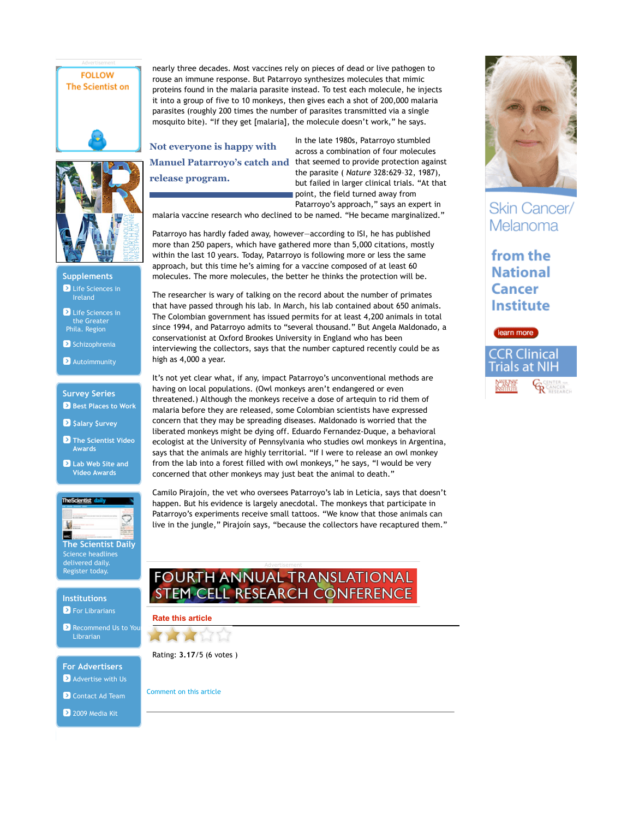## **FOLLOW The Scientist on**

nearly three decades. Most vaccines rely on pieces of dead or live pathogen to rouse an immune response. But Patarroyo synthesizes molecules that mimic proteins found in the malaria parasite instead. To test each molecule, he injects it into a group of five to 10 monkeys, then gives each a shot of 200,000 malaria parasites (roughly 200 times the number of parasites transmitted via a single mosquito bite). "If they get [malaria], the molecule doesn't work," he says.

**Not everyone is happy with Manuel Patarroyo's catch and release program.**

In the late 1980s, Patarroyo stumbled across a combination of four molecules that seemed to provide protection against the parasite ( *Nature* 328:629–32, 1987), but failed in larger clinical trials. "At that point, the field turned away from Patarroyo's approach," says an expert in

malaria vaccine research who declined to be named. "He became marginalized."

Patarroyo has hardly faded away, however—according to ISI, he has published more than 250 papers, which have gathered more than 5,000 citations, mostly within the last 10 years. Today, Patarroyo is following more or less the same approach, but this time he's aiming for a vaccine composed of at least 60 molecules. The more molecules, the better he thinks the protection will be.

The researcher is wary of talking on the record about the number of primates that have passed through his lab. In March, his lab contained about 650 animals. The Colombian government has issued permits for at least 4,200 animals in total since 1994, and Patarroyo admits to "several thousand." But Angela Maldonado, a conservationist at Oxford Brookes University in England who has been interviewing the collectors, says that the number captured recently could be as high as 4,000 a year.

It's not yet clear what, if any, impact Patarroyo's unconventional methods are having on local populations. (Owl monkeys aren't endangered or even threatened.) Although the monkeys receive a dose of artequin to rid them of malaria before they are released, some Colombian scientists have expressed concern that they may be spreading diseases. Maldonado is worried that the liberated monkeys might be dying off. Eduardo Fernandez-Duque, a behavioral ecologist at the University of Pennsylvania who studies owl monkeys in Argentina, says that the animals are highly territorial. "If I were to release an owl monkey from the lab into a forest filled with owl monkeys," he says, "I would be very concerned that other monkeys may just beat the animal to death."

Camilo Pirajoín, the vet who oversees Patarroyo's lab in Leticia, says that doesn't happen. But his evidence is largely anecdotal. The monkeys that participate in Patarroyo's experiments receive small tattoos. "We know that those animals can live in the jungle," Pirajoín says, "because the collectors have recaptured them."

## FOURTH ANNUAL TRANSLATIONAL **STEM CELL RESEARCH CONFERENCE**



Rating: **3.17**/5 (6 votes )

Comment on this article

**Skin Cancer/** Melanoma

from the **National Cancer Institute** 





**D** Life Sciences in Ireland **Supplements**

**D** Life Sciences in the Greater Phila. Region

Schizophrenia

**Autoimmunity** 

**Best Places to Work Survey Series**

 $\bullet$  **\$alary \$urvey** 

**The Scientist Video Awards**

**Lab Web Site and Video Awards**



**D** For Librarians **Institutions**

Recommend Us to You Librarian

**A** Advertise with Us **For Advertisers**

Contact Ad Team

2 2009 Media Kit